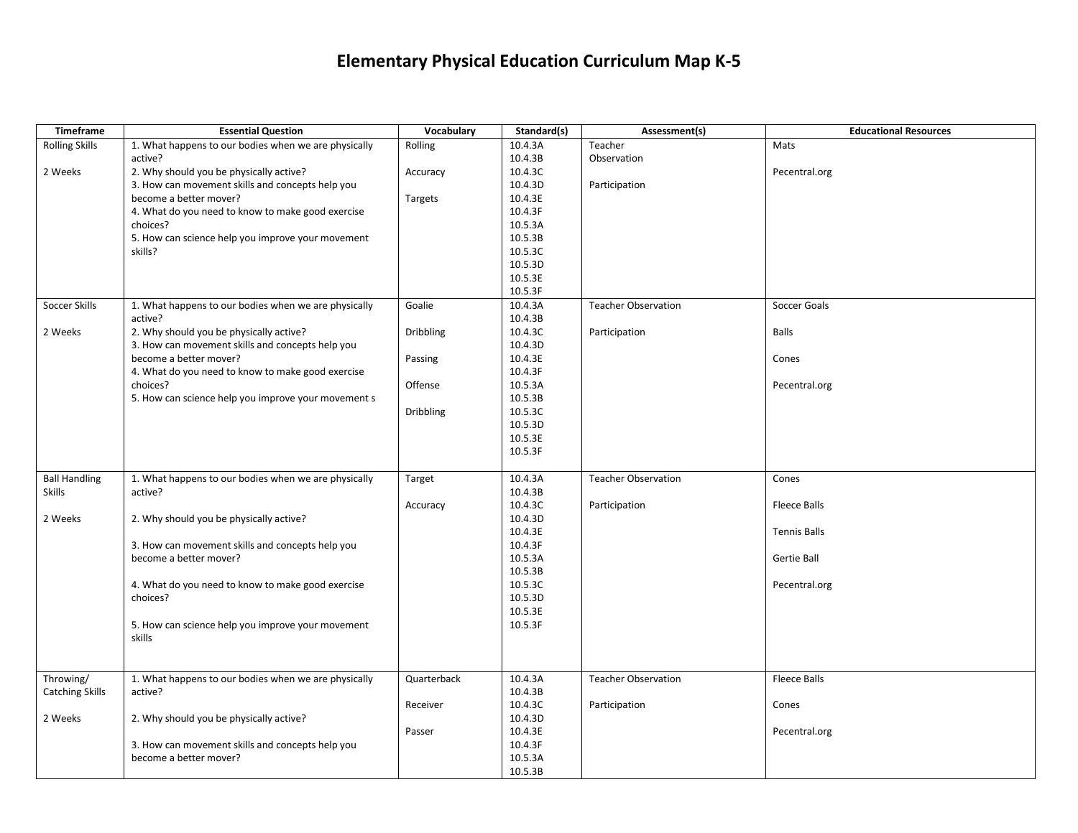## **Elementary Physical Education Curriculum Map K-5**

| Timeframe              | <b>Essential Question</b>                            | Vocabulary       | Standard(s)        | Assessment(s)              | <b>Educational Resources</b> |
|------------------------|------------------------------------------------------|------------------|--------------------|----------------------------|------------------------------|
| <b>Rolling Skills</b>  | 1. What happens to our bodies when we are physically | Rolling          | 10.4.3A            | Teacher                    | Mats                         |
|                        | active?                                              |                  | 10.4.3B            | Observation                |                              |
| 2 Weeks                | 2. Why should you be physically active?              | Accuracy         | 10.4.3C            |                            | Pecentral.org                |
|                        | 3. How can movement skills and concepts help you     |                  | 10.4.3D            | Participation              |                              |
|                        | become a better mover?                               | Targets          | 10.4.3E            |                            |                              |
|                        | 4. What do you need to know to make good exercise    |                  | 10.4.3F            |                            |                              |
|                        | choices?                                             |                  | 10.5.3A            |                            |                              |
|                        | 5. How can science help you improve your movement    |                  | 10.5.3B            |                            |                              |
|                        | skills?                                              |                  | 10.5.3C            |                            |                              |
|                        |                                                      |                  | 10.5.3D            |                            |                              |
|                        |                                                      |                  | 10.5.3E            |                            |                              |
|                        |                                                      |                  | 10.5.3F            |                            |                              |
| Soccer Skills          | 1. What happens to our bodies when we are physically | Goalie           | 10.4.3A            | <b>Teacher Observation</b> | Soccer Goals                 |
|                        | active?                                              |                  | 10.4.3B            |                            |                              |
| 2 Weeks                | 2. Why should you be physically active?              | <b>Dribbling</b> | 10.4.3C            | Participation              | Balls                        |
|                        | 3. How can movement skills and concepts help you     |                  | 10.4.3D            |                            |                              |
|                        | become a better mover?                               | Passing          | 10.4.3E            |                            | Cones                        |
|                        | 4. What do you need to know to make good exercise    |                  | 10.4.3F            |                            |                              |
|                        | choices?                                             | Offense          | 10.5.3A            |                            | Pecentral.org                |
|                        | 5. How can science help you improve your movement s  |                  | 10.5.3B            |                            |                              |
|                        |                                                      | <b>Dribbling</b> | 10.5.3C            |                            |                              |
|                        |                                                      |                  | 10.5.3D            |                            |                              |
|                        |                                                      |                  | 10.5.3E            |                            |                              |
|                        |                                                      |                  | 10.5.3F            |                            |                              |
|                        |                                                      |                  |                    |                            |                              |
| <b>Ball Handling</b>   | 1. What happens to our bodies when we are physically | Target           | 10.4.3A            | <b>Teacher Observation</b> | Cones                        |
| <b>Skills</b>          | active?                                              |                  | 10.4.3B            |                            |                              |
|                        |                                                      | Accuracy         | 10.4.3C            | Participation              | Fleece Balls                 |
| 2 Weeks                | 2. Why should you be physically active?              |                  | 10.4.3D            |                            |                              |
|                        | 3. How can movement skills and concepts help you     |                  | 10.4.3E<br>10.4.3F |                            | <b>Tennis Balls</b>          |
|                        | become a better mover?                               |                  | 10.5.3A            |                            | Gertie Ball                  |
|                        |                                                      |                  | 10.5.3B            |                            |                              |
|                        | 4. What do you need to know to make good exercise    |                  | 10.5.3C            |                            | Pecentral.org                |
|                        | choices?                                             |                  | 10.5.3D            |                            |                              |
|                        |                                                      |                  | 10.5.3E            |                            |                              |
|                        | 5. How can science help you improve your movement    |                  | 10.5.3F            |                            |                              |
|                        | skills                                               |                  |                    |                            |                              |
|                        |                                                      |                  |                    |                            |                              |
|                        |                                                      |                  |                    |                            |                              |
| Throwing/              | 1. What happens to our bodies when we are physically | Quarterback      | 10.4.3A            | <b>Teacher Observation</b> | <b>Fleece Balls</b>          |
| <b>Catching Skills</b> | active?                                              |                  | 10.4.3B            |                            |                              |
|                        |                                                      | Receiver         | 10.4.3C            | Participation              | Cones                        |
| 2 Weeks                | 2. Why should you be physically active?              |                  | 10.4.3D            |                            |                              |
|                        |                                                      | Passer           | 10.4.3E            |                            | Pecentral.org                |
|                        | 3. How can movement skills and concepts help you     |                  | 10.4.3F            |                            |                              |
|                        | become a better mover?                               |                  | 10.5.3A            |                            |                              |
|                        |                                                      |                  | 10.5.3B            |                            |                              |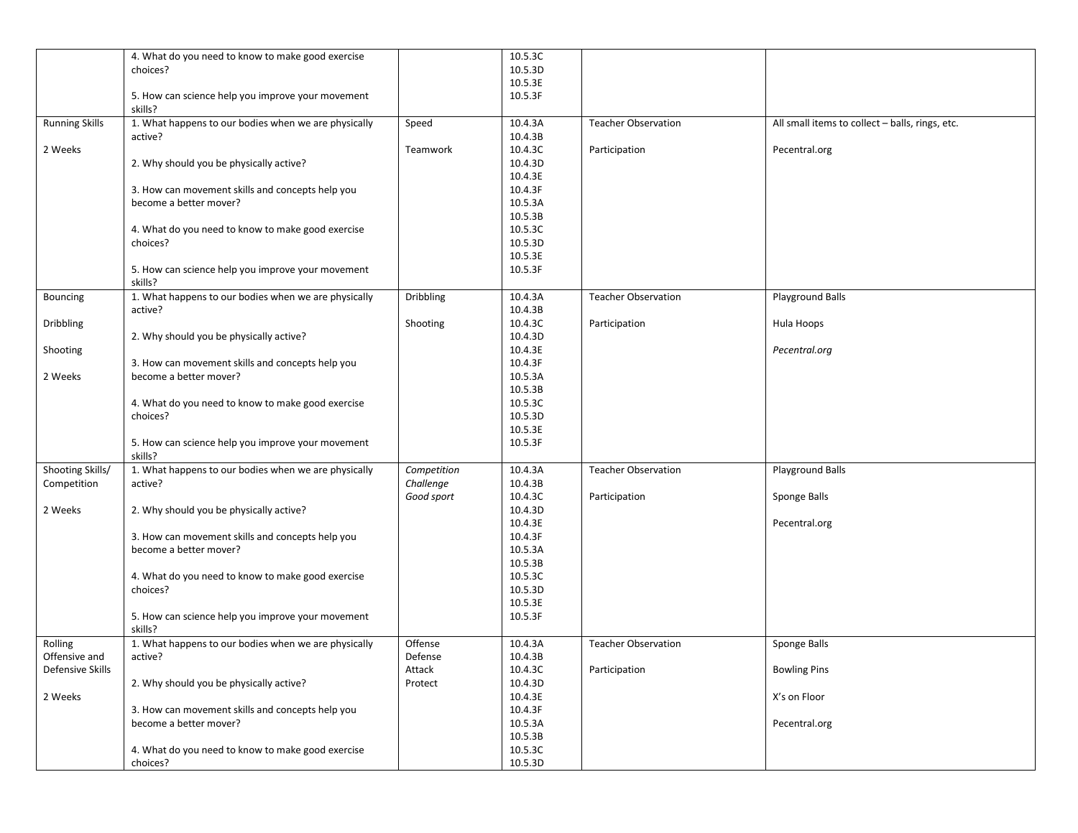|                       | 4. What do you need to know to make good exercise    |                  | 10.5.3C |                            |                                                 |
|-----------------------|------------------------------------------------------|------------------|---------|----------------------------|-------------------------------------------------|
|                       | choices?                                             |                  | 10.5.3D |                            |                                                 |
|                       |                                                      |                  | 10.5.3E |                            |                                                 |
|                       | 5. How can science help you improve your movement    |                  | 10.5.3F |                            |                                                 |
|                       | skills?                                              |                  |         |                            |                                                 |
| <b>Running Skills</b> | 1. What happens to our bodies when we are physically | Speed            | 10.4.3A | <b>Teacher Observation</b> | All small items to collect - balls, rings, etc. |
|                       | active?                                              |                  | 10.4.3B |                            |                                                 |
| 2 Weeks               |                                                      | Teamwork         | 10.4.3C | Participation              | Pecentral.org                                   |
|                       | 2. Why should you be physically active?              |                  | 10.4.3D |                            |                                                 |
|                       |                                                      |                  | 10.4.3E |                            |                                                 |
|                       | 3. How can movement skills and concepts help you     |                  | 10.4.3F |                            |                                                 |
|                       | become a better mover?                               |                  | 10.5.3A |                            |                                                 |
|                       |                                                      |                  | 10.5.3B |                            |                                                 |
|                       | 4. What do you need to know to make good exercise    |                  | 10.5.3C |                            |                                                 |
|                       | choices?                                             |                  | 10.5.3D |                            |                                                 |
|                       |                                                      |                  | 10.5.3E |                            |                                                 |
|                       | 5. How can science help you improve your movement    |                  | 10.5.3F |                            |                                                 |
|                       | skills?                                              |                  |         |                            |                                                 |
| Bouncing              | 1. What happens to our bodies when we are physically | <b>Dribbling</b> | 10.4.3A | <b>Teacher Observation</b> | Playground Balls                                |
|                       | active?                                              |                  | 10.4.3B |                            |                                                 |
| Dribbling             |                                                      | Shooting         | 10.4.3C | Participation              | Hula Hoops                                      |
|                       | 2. Why should you be physically active?              |                  | 10.4.3D |                            |                                                 |
| Shooting              |                                                      |                  | 10.4.3E |                            | Pecentral.org                                   |
|                       | 3. How can movement skills and concepts help you     |                  | 10.4.3F |                            |                                                 |
| 2 Weeks               | become a better mover?                               |                  | 10.5.3A |                            |                                                 |
|                       |                                                      |                  | 10.5.3B |                            |                                                 |
|                       | 4. What do you need to know to make good exercise    |                  | 10.5.3C |                            |                                                 |
|                       | choices?                                             |                  | 10.5.3D |                            |                                                 |
|                       |                                                      |                  | 10.5.3E |                            |                                                 |
|                       | 5. How can science help you improve your movement    |                  | 10.5.3F |                            |                                                 |
|                       | skills?                                              |                  |         |                            |                                                 |
| Shooting Skills/      | 1. What happens to our bodies when we are physically | Competition      | 10.4.3A | <b>Teacher Observation</b> | Playground Balls                                |
| Competition           | active?                                              | Challenge        | 10.4.3B |                            |                                                 |
|                       |                                                      | Good sport       | 10.4.3C | Participation              | Sponge Balls                                    |
| 2 Weeks               | 2. Why should you be physically active?              |                  | 10.4.3D |                            |                                                 |
|                       |                                                      |                  | 10.4.3E |                            | Pecentral.org                                   |
|                       | 3. How can movement skills and concepts help you     |                  | 10.4.3F |                            |                                                 |
|                       | become a better mover?                               |                  | 10.5.3A |                            |                                                 |
|                       |                                                      |                  | 10.5.3B |                            |                                                 |
|                       | 4. What do you need to know to make good exercise    |                  | 10.5.3C |                            |                                                 |
|                       | choices?                                             |                  | 10.5.3D |                            |                                                 |
|                       |                                                      |                  | 10.5.3E |                            |                                                 |
|                       | 5. How can science help you improve your movement    |                  | 10.5.3F |                            |                                                 |
|                       | skills?                                              |                  |         |                            |                                                 |
| Rolling               | 1. What happens to our bodies when we are physically | Offense          | 10.4.3A | <b>Teacher Observation</b> | Sponge Balls                                    |
| Offensive and         | active?                                              | Defense          | 10.4.3B |                            |                                                 |
| Defensive Skills      |                                                      | Attack           | 10.4.3C | Participation              | <b>Bowling Pins</b>                             |
|                       | 2. Why should you be physically active?              | Protect          | 10.4.3D |                            |                                                 |
| 2 Weeks               |                                                      |                  | 10.4.3E |                            | X's on Floor                                    |
|                       | 3. How can movement skills and concepts help you     |                  | 10.4.3F |                            |                                                 |
|                       | become a better mover?                               |                  | 10.5.3A |                            | Pecentral.org                                   |
|                       |                                                      |                  | 10.5.3B |                            |                                                 |
|                       | 4. What do you need to know to make good exercise    |                  | 10.5.3C |                            |                                                 |
|                       | choices?                                             |                  | 10.5.3D |                            |                                                 |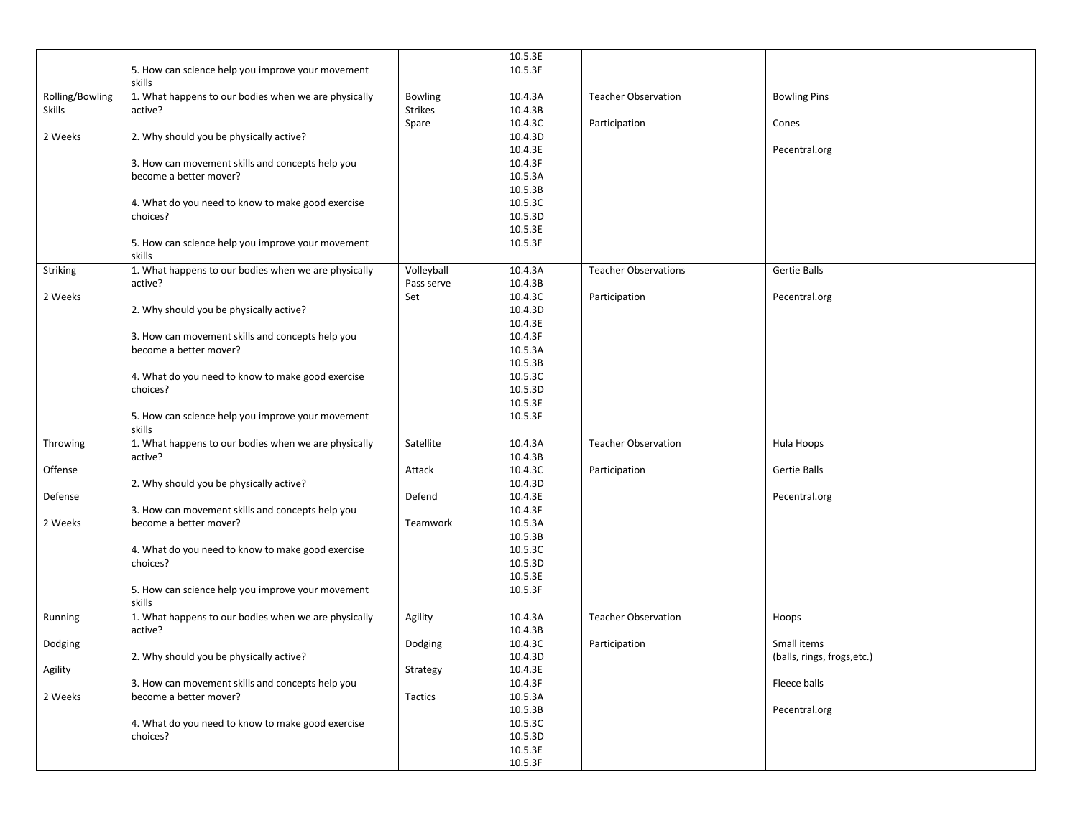|                 |                                                      |                | 10.5.3E              |                             |                             |
|-----------------|------------------------------------------------------|----------------|----------------------|-----------------------------|-----------------------------|
|                 | 5. How can science help you improve your movement    |                | 10.5.3F              |                             |                             |
|                 | skills                                               |                |                      |                             |                             |
|                 |                                                      |                | 10.4.3A              | <b>Teacher Observation</b>  | <b>Bowling Pins</b>         |
| Rolling/Bowling | 1. What happens to our bodies when we are physically | Bowling        |                      |                             |                             |
| <b>Skills</b>   | active?                                              | <b>Strikes</b> | 10.4.3B              |                             |                             |
|                 |                                                      | Spare          | 10.4.3C              | Participation               | Cones                       |
| 2 Weeks         | 2. Why should you be physically active?              |                | 10.4.3D              |                             |                             |
|                 |                                                      |                | 10.4.3E              |                             | Pecentral.org               |
|                 | 3. How can movement skills and concepts help you     |                | 10.4.3F              |                             |                             |
|                 | become a better mover?                               |                | 10.5.3A              |                             |                             |
|                 |                                                      |                | 10.5.3B              |                             |                             |
|                 | 4. What do you need to know to make good exercise    |                | 10.5.3C              |                             |                             |
|                 | choices?                                             |                | 10.5.3D              |                             |                             |
|                 |                                                      |                | 10.5.3E              |                             |                             |
|                 | 5. How can science help you improve your movement    |                | 10.5.3F              |                             |                             |
|                 | skills                                               |                |                      |                             |                             |
| Striking        | 1. What happens to our bodies when we are physically | Volleyball     | 10.4.3A              | <b>Teacher Observations</b> | <b>Gertie Balls</b>         |
|                 | active?                                              | Pass serve     | 10.4.3B              |                             |                             |
| 2 Weeks         |                                                      | Set            | 10.4.3C              | Participation               | Pecentral.org               |
|                 | 2. Why should you be physically active?              |                | 10.4.3D              |                             |                             |
|                 |                                                      |                | 10.4.3E              |                             |                             |
|                 |                                                      |                |                      |                             |                             |
|                 | 3. How can movement skills and concepts help you     |                | 10.4.3F              |                             |                             |
|                 | become a better mover?                               |                | 10.5.3A              |                             |                             |
|                 |                                                      |                | 10.5.3B              |                             |                             |
|                 | 4. What do you need to know to make good exercise    |                | 10.5.3C              |                             |                             |
|                 | choices?                                             |                | 10.5.3D              |                             |                             |
|                 |                                                      |                | 10.5.3E              |                             |                             |
|                 | 5. How can science help you improve your movement    |                | 10.5.3F              |                             |                             |
|                 | skills                                               |                |                      |                             |                             |
| Throwing        | 1. What happens to our bodies when we are physically | Satellite      | $\overline{10.4.3A}$ | <b>Teacher Observation</b>  | Hula Hoops                  |
|                 | active?                                              |                | 10.4.3B              |                             |                             |
| Offense         |                                                      | Attack         | 10.4.3C              | Participation               | Gertie Balls                |
|                 | 2. Why should you be physically active?              |                | 10.4.3D              |                             |                             |
| Defense         |                                                      | Defend         | 10.4.3E              |                             | Pecentral.org               |
|                 | 3. How can movement skills and concepts help you     |                | 10.4.3F              |                             |                             |
| 2 Weeks         | become a better mover?                               | Teamwork       | 10.5.3A              |                             |                             |
|                 |                                                      |                | 10.5.3B              |                             |                             |
|                 | 4. What do you need to know to make good exercise    |                | 10.5.3C              |                             |                             |
|                 | choices?                                             |                | 10.5.3D              |                             |                             |
|                 |                                                      |                | 10.5.3E              |                             |                             |
|                 |                                                      |                | 10.5.3F              |                             |                             |
|                 | 5. How can science help you improve your movement    |                |                      |                             |                             |
|                 | skills                                               |                |                      |                             |                             |
| Running         | 1. What happens to our bodies when we are physically | Agility        | 10.4.3A              | <b>Teacher Observation</b>  | Hoops                       |
|                 | active?                                              |                | 10.4.3B              |                             |                             |
| Dodging         |                                                      | Dodging        | 10.4.3C              | Participation               | Small items                 |
|                 | 2. Why should you be physically active?              |                | 10.4.3D              |                             | (balls, rings, frogs, etc.) |
| Agility         |                                                      | Strategy       | 10.4.3E              |                             |                             |
|                 | 3. How can movement skills and concepts help you     |                | 10.4.3F              |                             | Fleece balls                |
| 2 Weeks         | become a better mover?                               | Tactics        | 10.5.3A              |                             |                             |
|                 |                                                      |                | 10.5.3B              |                             | Pecentral.org               |
|                 | 4. What do you need to know to make good exercise    |                | 10.5.3C              |                             |                             |
|                 | choices?                                             |                | 10.5.3D              |                             |                             |
|                 |                                                      |                | 10.5.3E              |                             |                             |
|                 |                                                      |                | 10.5.3F              |                             |                             |
|                 |                                                      |                |                      |                             |                             |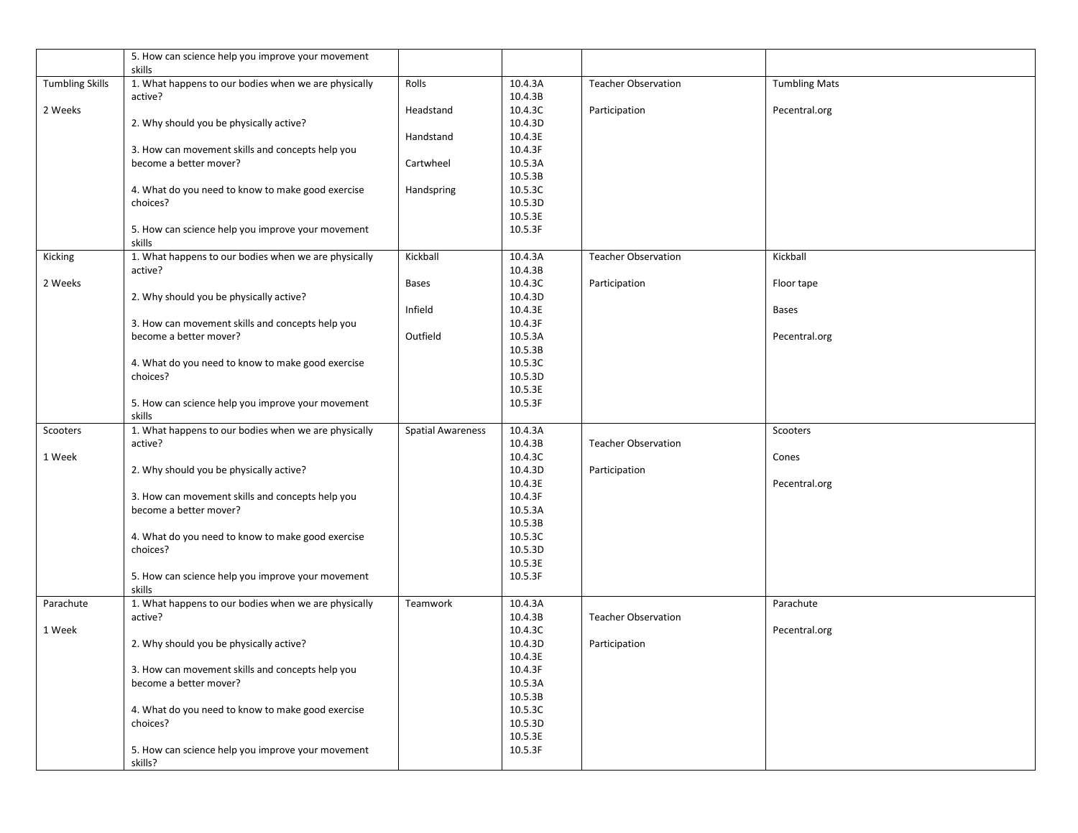|                        | 5. How can science help you improve your movement                          |                          |                    |                            |                      |
|------------------------|----------------------------------------------------------------------------|--------------------------|--------------------|----------------------------|----------------------|
|                        | skills                                                                     |                          |                    |                            |                      |
| <b>Tumbling Skills</b> | 1. What happens to our bodies when we are physically                       | Rolls                    | 10.4.3A<br>10.4.3B | <b>Teacher Observation</b> | <b>Tumbling Mats</b> |
| 2 Weeks                | active?                                                                    | Headstand                | 10.4.3C            | Participation              | Pecentral.org        |
|                        | 2. Why should you be physically active?                                    |                          | 10.4.3D            |                            |                      |
|                        |                                                                            | Handstand                | 10.4.3E            |                            |                      |
|                        | 3. How can movement skills and concepts help you                           |                          | 10.4.3F            |                            |                      |
|                        | become a better mover?                                                     | Cartwheel                | 10.5.3A            |                            |                      |
|                        |                                                                            |                          | 10.5.3B            |                            |                      |
|                        | 4. What do you need to know to make good exercise                          | Handspring               | 10.5.3C            |                            |                      |
|                        | choices?                                                                   |                          | 10.5.3D            |                            |                      |
|                        |                                                                            |                          | 10.5.3E            |                            |                      |
|                        | 5. How can science help you improve your movement                          |                          | 10.5.3F            |                            |                      |
|                        | skills                                                                     |                          |                    |                            |                      |
| Kicking                | 1. What happens to our bodies when we are physically                       | Kickball                 | 10.4.3A            | <b>Teacher Observation</b> | Kickball             |
|                        | active?                                                                    |                          | 10.4.3B            |                            |                      |
| 2 Weeks                |                                                                            | <b>Bases</b>             | 10.4.3C            | Participation              | Floor tape           |
|                        | 2. Why should you be physically active?                                    |                          | 10.4.3D            |                            |                      |
|                        |                                                                            | Infield                  | 10.4.3E            |                            | <b>Bases</b>         |
|                        | 3. How can movement skills and concepts help you                           |                          | 10.4.3F            |                            |                      |
|                        | become a better mover?                                                     | Outfield                 | 10.5.3A            |                            | Pecentral.org        |
|                        |                                                                            |                          | 10.5.3B            |                            |                      |
|                        | 4. What do you need to know to make good exercise                          |                          | 10.5.3C            |                            |                      |
|                        | choices?                                                                   |                          | 10.5.3D            |                            |                      |
|                        |                                                                            |                          | 10.5.3E            |                            |                      |
|                        | 5. How can science help you improve your movement                          |                          | 10.5.3F            |                            |                      |
|                        | skills                                                                     |                          |                    |                            |                      |
| Scooters               | 1. What happens to our bodies when we are physically                       | <b>Spatial Awareness</b> | 10.4.3A            |                            | Scooters             |
|                        | active?                                                                    |                          | 10.4.3B            | <b>Teacher Observation</b> |                      |
| 1 Week                 |                                                                            |                          | 10.4.3C            |                            | Cones                |
|                        | 2. Why should you be physically active?                                    |                          | 10.4.3D            | Participation              |                      |
|                        |                                                                            |                          | 10.4.3E            |                            | Pecentral.org        |
|                        | 3. How can movement skills and concepts help you<br>become a better mover? |                          | 10.4.3F<br>10.5.3A |                            |                      |
|                        |                                                                            |                          | 10.5.3B            |                            |                      |
|                        | 4. What do you need to know to make good exercise                          |                          | 10.5.3C            |                            |                      |
|                        | choices?                                                                   |                          | 10.5.3D            |                            |                      |
|                        |                                                                            |                          | 10.5.3E            |                            |                      |
|                        | 5. How can science help you improve your movement                          |                          | 10.5.3F            |                            |                      |
|                        | skills                                                                     |                          |                    |                            |                      |
| Parachute              | 1. What happens to our bodies when we are physically                       | Teamwork                 | 10.4.3A            |                            | Parachute            |
|                        | active?                                                                    |                          | 10.4.3B            | <b>Teacher Observation</b> |                      |
| 1 Week                 |                                                                            |                          | 10.4.3C            |                            | Pecentral.org        |
|                        | 2. Why should you be physically active?                                    |                          | 10.4.3D            | Participation              |                      |
|                        |                                                                            |                          | 10.4.3E            |                            |                      |
|                        | 3. How can movement skills and concepts help you                           |                          | 10.4.3F            |                            |                      |
|                        | become a better mover?                                                     |                          | 10.5.3A            |                            |                      |
|                        |                                                                            |                          | 10.5.3B            |                            |                      |
|                        | 4. What do you need to know to make good exercise                          |                          | 10.5.3C            |                            |                      |
|                        | choices?                                                                   |                          | 10.5.3D            |                            |                      |
|                        |                                                                            |                          | 10.5.3E            |                            |                      |
|                        | 5. How can science help you improve your movement                          |                          | 10.5.3F            |                            |                      |
|                        | skills?                                                                    |                          |                    |                            |                      |